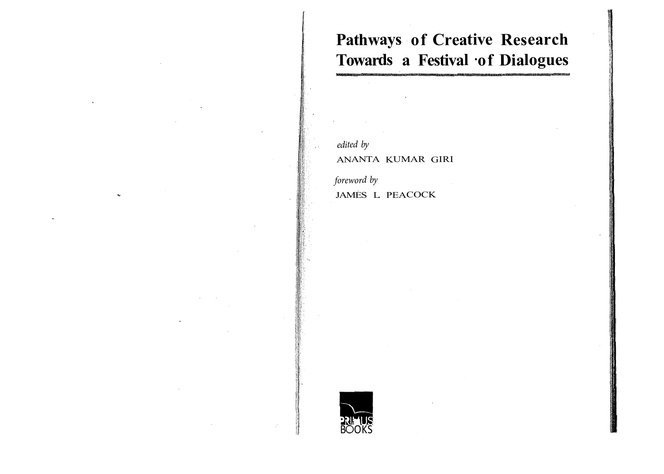# **Pathways of Creative Research**  Towards a Festival of Dialogues

*edited by*  ANANTA KUMAR GIRI

*foreword by*  JAMES L. PEACOCK

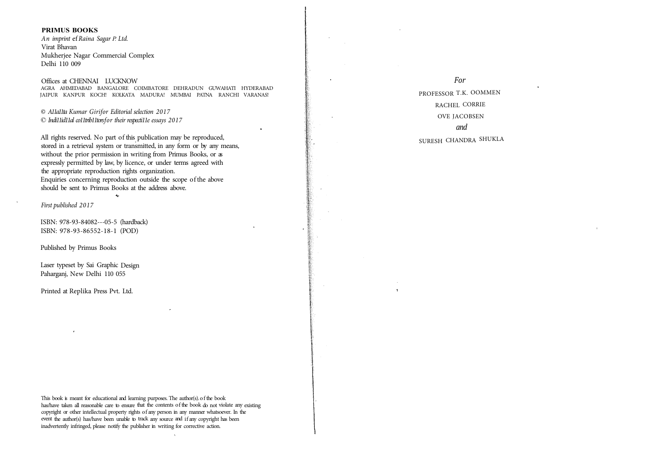#### **PRIMUS BOOKS**

*An imprint* ef *Raina Sagar P. Ltd.*  Virat Bhavan Mukherjee Nagar Commercial Complex Delhi 110 009

Offices at CHENNAI LUCKNOW AGRA AHMEDABAD BANGALORE COIMBATORE DEHRADUN GUWAHATI HYDERABAD JAIPUR KANPUR KOCH! KOLKATA MADURA! MUMBAI PATNA RANCHI VARANAS!

*© A11a11ta Kumar Girifor Editorial selection 2017*  © *Indi11id11al co11trib11tors for their respecti11e essays 2017* 

All rights reserved. No part of this publication may be reproduced, stored in a retrieval system or transmitted, in any form or by any means, without the prior permission in writing from Primus Books, or as expressly permitted by law, by licence, or under terms agreed with the appropriate reproduction rights organization. Enquiries concerning reproduction outside the scope of the above should be sent to Primus Books at the address above.

*First published 2017* 

ISBN: 978-93-84082---05-5 (hardback) ISBN: 978-93-86552-18-1 (POD)

Published by Primus Books

Laser typeset by Sai Graphic Design Paharganj, New Delhi 110 055

Printed at Replika Press Pvt. Ltd.

This book is meant for educational and learning purposes. The author(s). of the book has/have taken all reasonable care to ensure that the contents of the book do not violate any existing copyright or other intellectual property rights of any person in any manner whatsoever. In the event the author(s) has/have been unable to track any source and if any copyright has been inadvertently infringed, please notify the publisher in writing for corrective action.

*For*  PROFESSOR T.K. OOMMEN RACHEL CORRIE OVE JACOBSEN *and*  SURESH CHANDRA SHUKLA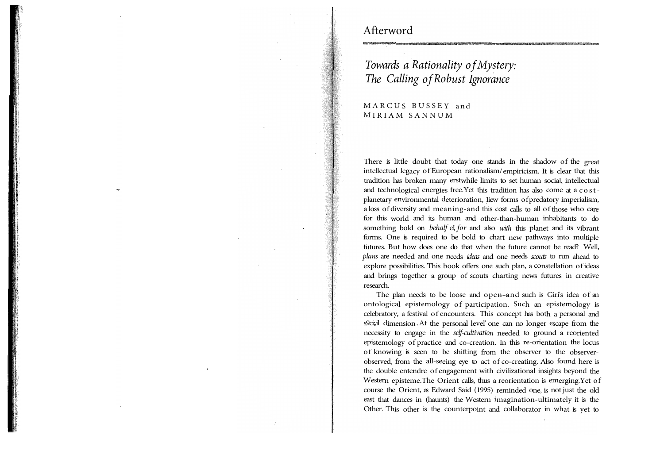# Afterword

**w** 

# *Towards a Rationality of Mystery: The Calling of Robust Ignorance*

MARCUS BUSSEY and MIRIAM SANNUM

There is little doubt that today one stands in the shadow of the great intellectual legacy of European rationalism/ empiricism. It is clear that this tradition has broken many erstwhile limits to set human social, intellectual and technological energies free.Yet this tradition has also come at a cost<sup>p</sup>lanetary environmental deterioration, 1iew forms of predatory imperialism, a loss of diversity and meaning-and this cost calls to all of those who care for this world and its human and other-than-human inhabitants to do something bold on *behalf* ef, *for* and also *with* this planet and its vibrant forms. One is required to be bold to chart new pathways into multiple futures. But how does one do that when the future cannot be read? Well, *plans* are needed and one needs *ideas* and one needs *scouts* to run ahead to explore possibilities. This book offers one such plan, a constellation of ideas and brings together a group of scouts charting news futures in creative research.

The plan needs to be loose and open-and such is Giri's idea of an ontological epistemology of participation. Such an epistemology is celebratory, a festival of encounters. This concept has both a personal and s9ci;,il dimension. At the personal level' one can no longer escape from the necessity to engage in the *self-cultivation* needed to ground a reoriented epistemology of practice and co-creation. In this re-orientation the locus of knowing is seen to be shifting from the observer to the observerobserved, from the all-seeing eye to act of co-creating. Also found here is the double entendre of engagement with civilizational insights beyond the Western episteme.The Orient calls, thus a reorientation is emerging.Yet of course the Orient, as Edward Said (1995) reminded one, is not just the old east that dances in (haunts) the Western imagination-ultimately it is the Other. This other is the counterpoint and collaborator in what is yet to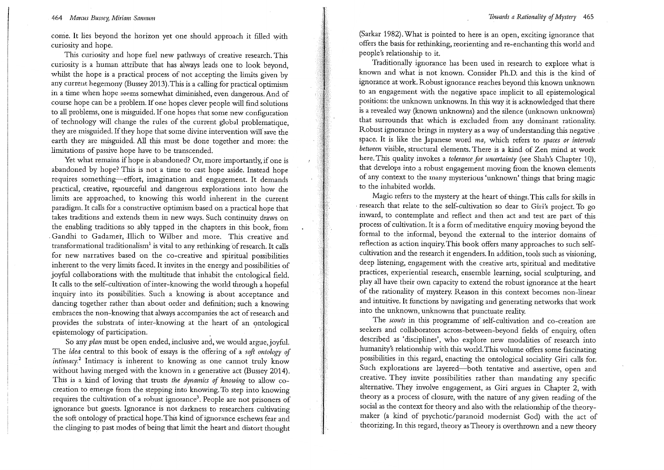#### 464 Marcus Bussey, Miriam Sannum

come. It lies beyond the horizon yet one should approach it filled with curiosity and hope.

This curiosity and hope fuel new pathways of creative research. This curiosity is a human attribute that has always leads one to look beyond, whilst the hope is a practical process of not accepting the limits given by any current hegemony (Bussey 2013). This is a calling for practical optimism in a time when hope seems somewhat diminished, even dangerous. And of course hope can be a problem. If one hopes clever people will find solutions to all problems, one is misguided. If one hopes that some new configuration of technology will change the rules of the current global problematique. they are misguided. If they hope that some divine intervention will save the earth they are misguided. All this must be done together and more: the limitations of passive hope have to be transcended.

Yet what remains if hope is abandoned? Or, more importantly, if one is abandoned by hope? This is not a time to cast hope aside. Instead hope requires something-effort, imagination and engagement. It demands practical, creative, resourceful and dangerous explorations into how the limits are approached, to knowing this world inherent in the current paradigm. It calls for a constructive optimism based on a practical hope that takes traditions and extends them in new ways. Such continuity draws on the enabling traditions so ably tapped in the chapters in this book, from Gandhi to Gadamer, Illich to Wilber and more. This creative and transformational traditionalism<sup>1</sup> is vital to any rethinking of research. It calls for new narratives based on the co-creative and spiritual possibilities inherent to the very limits faced. It invites in the energy and possibilities of joyful collaborations with the multitude that inhabit the ontological field. It calls to the self-cultivation of inter-knowing the world through a hopeful inquiry into its possibilities. Such a knowing is about acceptance and dancing together rather than about order and definition; such a knowing embraces the non-knowing that always accompanies the act of research and provides the substrata of inter-knowing at the heart of an ontological epistemology of participation.

So any plan must be open ended, inclusive and, we would argue, joyful. The idea central to this book of essays is the offering of a soft ontology of *intimacy*.<sup>2</sup> Intimacy is inherent to knowing as one cannot truly know without having merged with the known in a generative act (Bussey 2014). This is a kind of loving that trusts the dynamics of knowing to allow cocreation to emerge from the stepping into knowing. To step into knowing requires the cultivation of a robust ignorance<sup>3</sup>. People are not prisoners of ignorance but guests. Ignorance is not darkness to researchers cultivating the soft ontology of practical hope. This kind of ignorance eschews fear and the clinging to past modes of being that limit the heart and distort thought (Sarkar 1982). What is pointed to here is an open, exciting ignorance that offers the basis for rethinking, reorienting and re-enchanting this world and people's relationship to it.

Traditionally ignorance has been used in research to explore what is known and what is not known. Consider Ph.D. and this is the kind of ignorance at work. Robust ignorance reaches beyond this known unknown to an engagement with the negative space implicit to all epistemological positions: the unknown unknowns. In this way it is acknowledged that there is a revealed way (known unknowns) and the silence (unknown unknowns) that surrounds that which is excluded from any dominant rationality. Robust ignorance brings in mystery as a way of understanding this negative space. It is like the Japanese word ma, which refers to spaces or intervals between visible, structural elements. There is a kind of Zen mind at work here. This quality invokes a tolerance for uncertainty (see Shah's Chapter 10), that develops into a robust engagement moving from the known elements of any context to the many mysterious 'unknown' things that bring magic to the inhabited worlds.

Magic refers to the mystery at the heart of things. This calls for skills in research that relate to the self-cultivation so dear to Giri's project. To go inward, to contemplate and reflect and then act and test are part of this process of cultivation. It is a form of meditative enquiry moving beyond the formal to the informal, beyond the external to the interior domains of reflection as action inquiry. This book offers many approaches to such selfcultivation and the research it engenders. In addition, tools such as visioning, deep listening, engagement with the creative arts, spiritual and meditative practices, experiential research, ensemble learning, social sculpturing, and play all have their own capacity to extend the robust ignorance at the heart of the rationality of mystery. Reason in this context becomes non-linear and intuitive. It functions by navigating and generating networks that work into the unknown, unknowns that punctuate reality.

The scouts in this programme of self-cultivation and co-creation are seekers and collaborators across-between-beyond fields of enquiry, often described as 'disciplines', who explore new modalities of research into humanity's relationship with this world. This volume offers some fascinating possibilities in this regard, enacting the ontological sociality Giri calls for. Such explorations are layered-both tentative and assertive, open and creative. They invite possibilities rather than mandating any specific alternative. They involve engagement, as Giri argues in Chapter 2, with theory as a process of closure, with the nature of any given reading of the social as the context for theory and also with the relationship of the theorymaker (a kind of psychotic/paranoid modernist God) with the act of theorizing. In this regard, theory as Theory is overthrown and a new theory